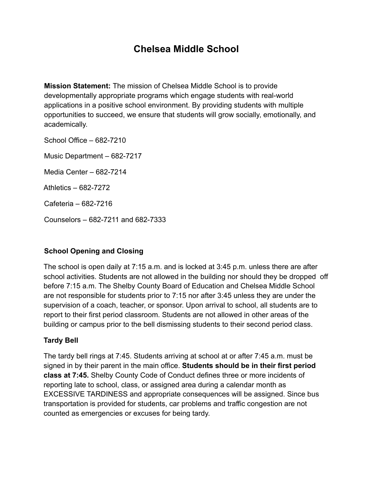# **Chelsea Middle School**

**Mission Statement:** The mission of Chelsea Middle School is to provide developmentally appropriate programs which engage students with real-world applications in a positive school environment. By providing students with multiple opportunities to succeed, we ensure that students will grow socially, emotionally, and academically.

School Office – 682-7210 Music Department – 682-7217 Media Center – 682-7214 Athletics – 682-7272 Cafeteria – 682-7216 Counselors – 682-7211 and 682-7333

## **School Opening and Closing**

The school is open daily at 7:15 a.m. and is locked at 3:45 p.m. unless there are after school activities. Students are not allowed in the building nor should they be dropped off before 7:15 a.m. The Shelby County Board of Education and Chelsea Middle School are not responsible for students prior to 7:15 nor after 3:45 unless they are under the supervision of a coach, teacher, or sponsor. Upon arrival to school, all students are to report to their first period classroom. Students are not allowed in other areas of the building or campus prior to the bell dismissing students to their second period class.

#### **Tardy Bell**

The tardy bell rings at 7:45. Students arriving at school at or after 7:45 a.m. must be signed in by their parent in the main office. **Students should be in their first period class at 7:45.** Shelby County Code of Conduct defines three or more incidents of reporting late to school, class, or assigned area during a calendar month as EXCESSIVE TARDINESS and appropriate consequences will be assigned. Since bus transportation is provided for students, car problems and traffic congestion are not counted as emergencies or excuses for being tardy.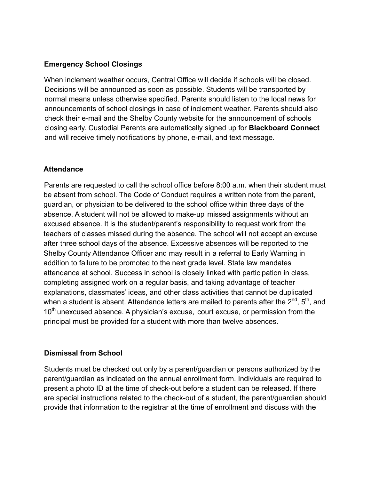#### **Emergency School Closings**

When inclement weather occurs, Central Office will decide if schools will be closed. Decisions will be announced as soon as possible. Students will be transported by normal means unless otherwise specified. Parents should listen to the local news for announcements of school closings in case of inclement weather. Parents should also check their e-mail and the Shelby County website for the announcement of schools closing early. Custodial Parents are automatically signed up for **Blackboard Connect** and will receive timely notifications by phone, e-mail, and text message.

#### **Attendance**

Parents are requested to call the school office before 8:00 a.m. when their student must be absent from school. The Code of Conduct requires a written note from the parent, guardian, or physician to be delivered to the school office within three days of the absence. A student will not be allowed to make-up missed assignments without an excused absence. It is the student/parent's responsibility to request work from the teachers of classes missed during the absence. The school will not accept an excuse after three school days of the absence. Excessive absences will be reported to the Shelby County Attendance Officer and may result in a referral to Early Warning in addition to failure to be promoted to the next grade level. State law mandates attendance at school. Success in school is closely linked with participation in class, completing assigned work on a regular basis, and taking advantage of teacher explanations, classmates' ideas, and other class activities that cannot be duplicated when a student is absent. Attendance letters are mailed to parents after the  $2^{nd}$ ,  $5^{th}$ , and  $10<sup>th</sup>$  unexcused absence. A physician's excuse, court excuse, or permission from the principal must be provided for a student with more than twelve absences.

## **Dismissal from School**

Students must be checked out only by a parent/guardian or persons authorized by the parent/guardian as indicated on the annual enrollment form. Individuals are required to present a photo ID at the time of check-out before a student can be released. If there are special instructions related to the check-out of a student, the parent/guardian should provide that information to the registrar at the time of enrollment and discuss with the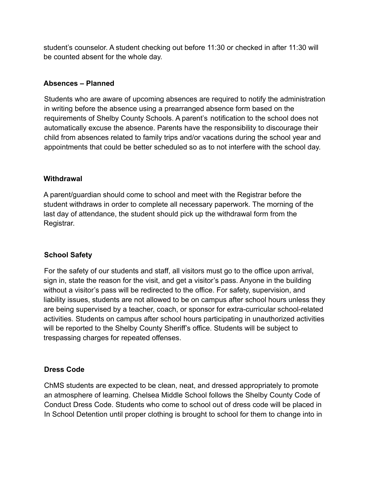student's counselor. A student checking out before 11:30 or checked in after 11:30 will be counted absent for the whole day.

### **Absences – Planned**

Students who are aware of upcoming absences are required to notify the administration in writing before the absence using a prearranged absence form based on the requirements of Shelby County Schools. A parent's notification to the school does not automatically excuse the absence. Parents have the responsibility to discourage their child from absences related to family trips and/or vacations during the school year and appointments that could be better scheduled so as to not interfere with the school day.

#### **Withdrawal**

A parent/guardian should come to school and meet with the Registrar before the student withdraws in order to complete all necessary paperwork. The morning of the last day of attendance, the student should pick up the withdrawal form from the Registrar.

## **School Safety**

For the safety of our students and staff, all visitors must go to the office upon arrival, sign in, state the reason for the visit, and get a visitor's pass. Anyone in the building without a visitor's pass will be redirected to the office. For safety, supervision, and liability issues, students are not allowed to be on campus after school hours unless they are being supervised by a teacher, coach, or sponsor for extra-curricular school-related activities. Students on campus after school hours participating in unauthorized activities will be reported to the Shelby County Sheriff's office. Students will be subject to trespassing charges for repeated offenses.

#### **Dress Code**

ChMS students are expected to be clean, neat, and dressed appropriately to promote an atmosphere of learning. Chelsea Middle School follows the Shelby County Code of Conduct Dress Code. Students who come to school out of dress code will be placed in In School Detention until proper clothing is brought to school for them to change into in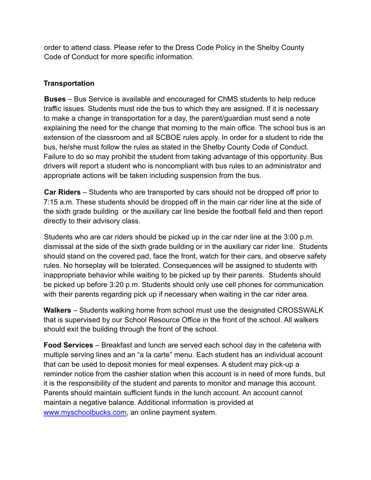order to attend class. Please refer to the Dress Code Policy in the Shelby County Code of Conduct for more specific information.

## **Transportation**

**Buses** – Bus Service is available and encouraged for ChMS students to help reduce traffic issues. Students must ride the bus to which they are assigned. If it is necessary to make a change in transportation for a day, the parent/guardian must send a note explaining the need for the change that morning to the main office. The school bus is an extension of the classroom and all SCBOE rules apply. In order for a student to ride the bus, he/she must follow the rules as stated in the Shelby County Code of Conduct. Failure to do so may prohibit the student from taking advantage of this opportunity. Bus drivers will report a student who is noncompliant with bus rules to an administrator and appropriate actions will be taken including suspension from the bus.

**Car Riders** – Students who are transported by cars should not be dropped off prior to 7:15 a.m. These students should be dropped off in the main car rider line at the side of the sixth grade building or the auxiliary car line beside the football field and then report directly to their advisory class.

Students who are car riders should be picked up in the car rider line at the 3:00 p.m. dismissal at the side of the sixth grade building or in the auxiliary car rider line. Students should stand on the covered pad, face the front, watch for their cars, and observe safety rules. No horseplay will be tolerated. Consequences will be assigned to students with inappropriate behavior while waiting to be picked up by their parents. Students should be picked up before 3:20 p.m. Students should only use cell phones for communication with their parents regarding pick up if necessary when waiting in the car rider area.

**Walkers** – Students walking home from school must use the designated CROSSWALK that is supervised by our School Resource Office in the front of the school. All walkers should exit the building through the front of the school.

**Food Services** – Breakfast and lunch are served each school day in the cafeteria with multiple serving lines and an "a la carte" menu. Each student has an individual account that can be used to deposit monies for meal expenses. A student may pick-up a reminder notice from the cashier station when this account is in need of more funds, but it is the responsibility of the student and parents to monitor and manage this account. Parents should maintain sufficient funds in the lunch account. An account cannot maintain a negative balance. Additional information is provided at [www.myschoolbucks.com,](www.myschoolbucks.com) an online payment system.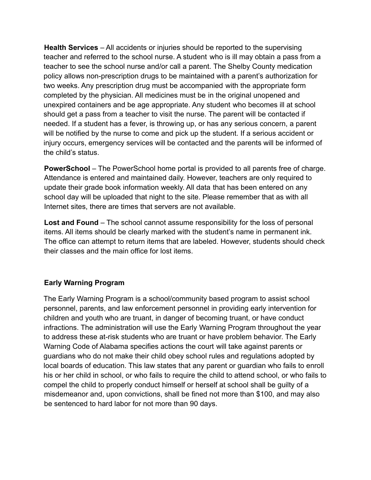**Health Services** – All accidents or injuries should be reported to the supervising teacher and referred to the school nurse. A student who is ill may obtain a pass from a teacher to see the school nurse and/or call a parent. The Shelby County medication policy allows non-prescription drugs to be maintained with a parent's authorization for two weeks. Any prescription drug must be accompanied with the appropriate form completed by the physician. All medicines must be in the original unopened and unexpired containers and be age appropriate. Any student who becomes ill at school should get a pass from a teacher to visit the nurse. The parent will be contacted if needed. If a student has a fever, is throwing up, or has any serious concern, a parent will be notified by the nurse to come and pick up the student. If a serious accident or injury occurs, emergency services will be contacted and the parents will be informed of the child's status.

**PowerSchool** – The PowerSchool home portal is provided to all parents free of charge. Attendance is entered and maintained daily. However, teachers are only required to update their grade book information weekly. All data that has been entered on any school day will be uploaded that night to the site. Please remember that as with all Internet sites, there are times that servers are not available.

**Lost and Found** – The school cannot assume responsibility for the loss of personal items. All items should be clearly marked with the student's name in permanent ink. The office can attempt to return items that are labeled. However, students should check their classes and the main office for lost items.

#### **Early Warning Program**

The Early Warning Program is a school/community based program to assist school personnel, parents, and law enforcement personnel in providing early intervention for children and youth who are truant, in danger of becoming truant, or have conduct infractions. The administration will use the Early Warning Program throughout the year to address these at-risk students who are truant or have problem behavior. The Early Warning Code of Alabama specifies actions the court will take against parents or guardians who do not make their child obey school rules and regulations adopted by local boards of education. This law states that any parent or guardian who fails to enroll his or her child in school, or who fails to require the child to attend school, or who fails to compel the child to properly conduct himself or herself at school shall be guilty of a misdemeanor and, upon convictions, shall be fined not more than \$100, and may also be sentenced to hard labor for not more than 90 days.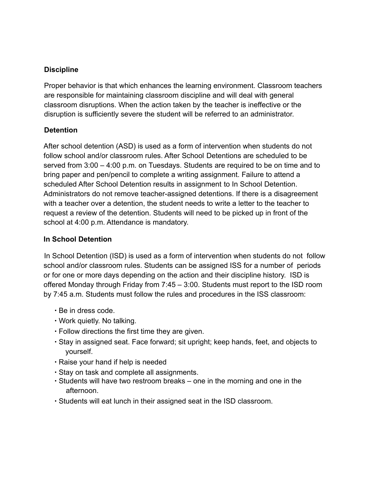## **Discipline**

Proper behavior is that which enhances the learning environment. Classroom teachers are responsible for maintaining classroom discipline and will deal with general classroom disruptions. When the action taken by the teacher is ineffective or the disruption is sufficiently severe the student will be referred to an administrator.

#### **Detention**

After school detention (ASD) is used as a form of intervention when students do not follow school and/or classroom rules. After School Detentions are scheduled to be served from 3:00 – 4:00 p.m. on Tuesdays. Students are required to be on time and to bring paper and pen/pencil to complete a writing assignment. Failure to attend a scheduled After School Detention results in assignment to In School Detention. Administrators do not remove teacher-assigned detentions. If there is a disagreement with a teacher over a detention, the student needs to write a letter to the teacher to request a review of the detention. Students will need to be picked up in front of the school at 4:00 p.m. Attendance is mandatory.

## **In School Detention**

In School Detention (ISD) is used as a form of intervention when students do not follow school and/or classroom rules. Students can be assigned ISS for a number of periods or for one or more days depending on the action and their discipline history. ISD is offered Monday through Friday from 7:45 – 3:00. Students must report to the ISD room by 7:45 a.m. Students must follow the rules and procedures in the ISS classroom:

- ∙ Be in dress code.
- ∙ Work quietly. No talking.
- ∙ Follow directions the first time they are given.
- ∙ Stay in assigned seat. Face forward; sit upright; keep hands, feet, and objects to yourself.
- ∙ Raise your hand if help is needed
- ∙ Stay on task and complete all assignments.
- ∙ Students will have two restroom breaks one in the morning and one in the afternoon.
- ∙ Students will eat lunch in their assigned seat in the ISD classroom.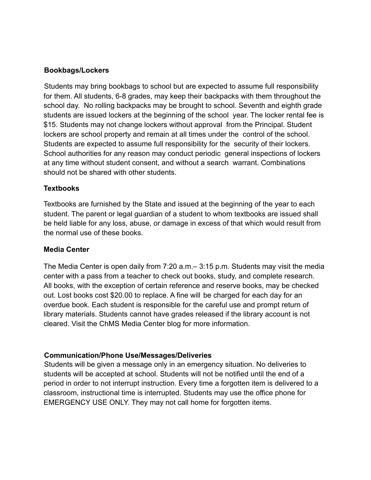#### **Bookbags/Lockers**

Students may bring bookbags to school but are expected to assume full responsibility for them. All students, 6-8 grades, may keep their backpacks with them throughout the school day. No rolling backpacks may be brought to school. Seventh and eighth grade students are issued lockers at the beginning of the school year. The locker rental fee is \$15. Students may not change lockers without approval from the Principal. Student lockers are school property and remain at all times under the control of the school. Students are expected to assume full responsibility for the security of their lockers. School authorities for any reason may conduct periodic general inspections of lockers at any time without student consent, and without a search warrant. Combinations should not be shared with other students.

#### **Textbooks**

Textbooks are furnished by the State and issued at the beginning of the year to each student. The parent or legal guardian of a student to whom textbooks are issued shall be held liable for any loss, abuse, or damage in excess of that which would result from the normal use of these books.

#### **Media Center**

The Media Center is open daily from 7:20 a.m.– 3:15 p.m. Students may visit the media center with a pass from a teacher to check out books, study, and complete research. All books, with the exception of certain reference and reserve books, may be checked out. Lost books cost \$20.00 to replace. A fine will be charged for each day for an overdue book. Each student is responsible for the careful use and prompt return of library materials. Students cannot have grades released if the library account is not cleared. Visit the ChMS Media Center blog for more information.

#### **Communication/Phone Use/Messages/Deliveries**

Students will be given a message only in an emergency situation. No deliveries to students will be accepted at school. Students will not be notified until the end of a period in order to not interrupt instruction. Every time a forgotten item is delivered to a classroom, instructional time is interrupted. Students may use the office phone for EMERGENCY USE ONLY. They may not call home for forgotten items.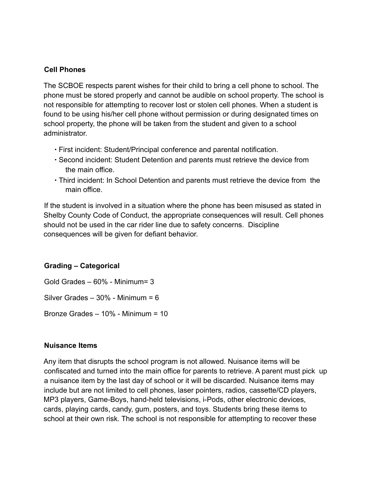#### **Cell Phones**

The SCBOE respects parent wishes for their child to bring a cell phone to school. The phone must be stored properly and cannot be audible on school property. The school is not responsible for attempting to recover lost or stolen cell phones. When a student is found to be using his/her cell phone without permission or during designated times on school property, the phone will be taken from the student and given to a school administrator.

- ∙ First incident: Student/Principal conference and parental notification.
- ∙ Second incident: Student Detention and parents must retrieve the device from the main office.
- ∙ Third incident: In School Detention and parents must retrieve the device from the main office.

If the student is involved in a situation where the phone has been misused as stated in Shelby County Code of Conduct, the appropriate consequences will result. Cell phones should not be used in the car rider line due to safety concerns. Discipline consequences will be given for defiant behavior.

#### **Grading – Categorical**

Gold Grades – 60% - Minimum= 3 Silver Grades – 30% - Minimum = 6

Bronze Grades – 10% - Minimum = 10

#### **Nuisance Items**

Any item that disrupts the school program is not allowed. Nuisance items will be confiscated and turned into the main office for parents to retrieve. A parent must pick up a nuisance item by the last day of school or it will be discarded. Nuisance items may include but are not limited to cell phones, laser pointers, radios, cassette/CD players, MP3 players, Game-Boys, hand-held televisions, i-Pods, other electronic devices, cards, playing cards, candy, gum, posters, and toys. Students bring these items to school at their own risk. The school is not responsible for attempting to recover these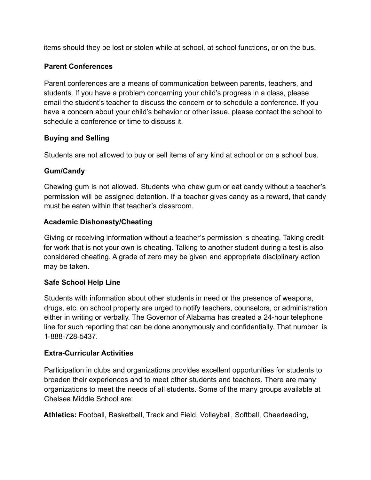items should they be lost or stolen while at school, at school functions, or on the bus.

## **Parent Conferences**

Parent conferences are a means of communication between parents, teachers, and students. If you have a problem concerning your child's progress in a class, please email the student's teacher to discuss the concern or to schedule a conference. If you have a concern about your child's behavior or other issue, please contact the school to schedule a conference or time to discuss it.

## **Buying and Selling**

Students are not allowed to buy or sell items of any kind at school or on a school bus.

## **Gum/Candy**

Chewing gum is not allowed. Students who chew gum or eat candy without a teacher's permission will be assigned detention. If a teacher gives candy as a reward, that candy must be eaten within that teacher's classroom.

## **Academic Dishonesty/Cheating**

Giving or receiving information without a teacher's permission is cheating. Taking credit for work that is not your own is cheating. Talking to another student during a test is also considered cheating. A grade of zero may be given and appropriate disciplinary action may be taken.

## **Safe School Help Line**

Students with information about other students in need or the presence of weapons, drugs, etc. on school property are urged to notify teachers, counselors, or administration either in writing or verbally. The Governor of Alabama has created a 24-hour telephone line for such reporting that can be done anonymously and confidentially. That number is 1-888-728-5437.

## **Extra-Curricular Activities**

Participation in clubs and organizations provides excellent opportunities for students to broaden their experiences and to meet other students and teachers. There are many organizations to meet the needs of all students. Some of the many groups available at Chelsea Middle School are:

**Athletics:** Football, Basketball, Track and Field, Volleyball, Softball, Cheerleading,